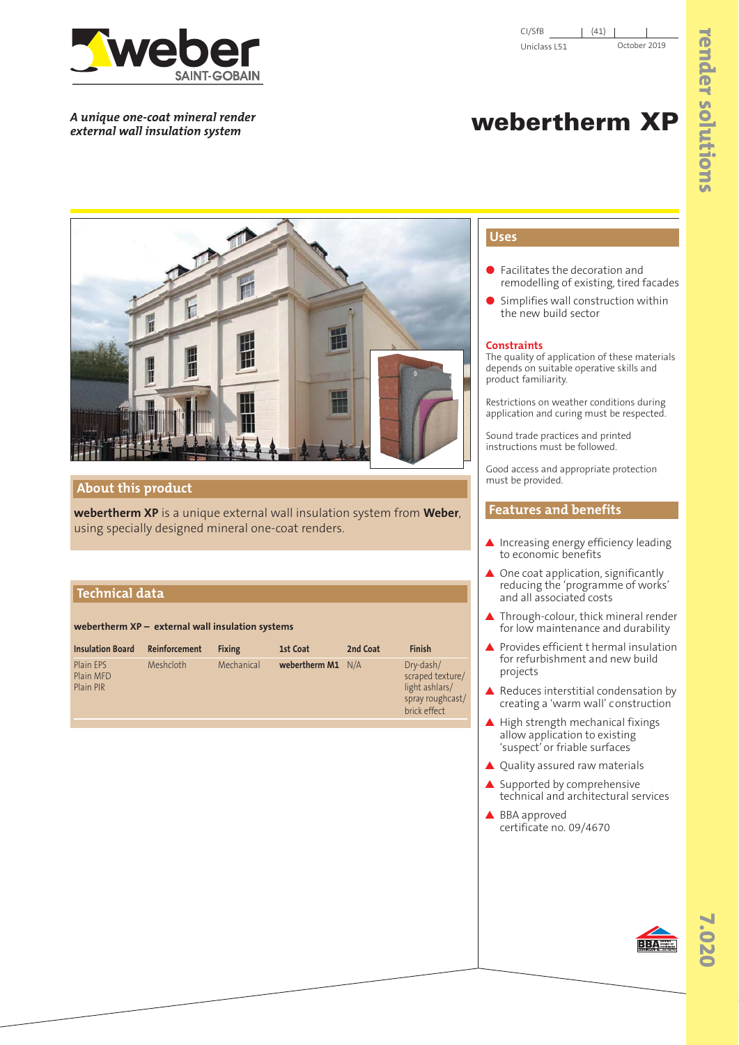

*A unique one-coat mineral render*

# webertherm **XP**



## **About this product**

**webertherm XP** is a unique external wall insulation system from **Weber**, using specially designed mineral one-coat renders.

# **Technical data**

**webertherm XP – external wall insulation systems**

| Meshcloth<br>Mechanical<br>webertherm M1 N/A<br>Dry-dash/<br>V'<br>scraped texture/<br>$\overline{V}$<br>light ashlars/<br>spray roughcast/<br>brick effect | <b>Insulation Board</b> | <b>Reinforcement</b> | <b>Fixing</b> | 1st Coat | 2nd Coat | <b>Finish</b> |
|-------------------------------------------------------------------------------------------------------------------------------------------------------------|-------------------------|----------------------|---------------|----------|----------|---------------|
|                                                                                                                                                             |                         |                      |               |          |          |               |

vt (vu '' (  $V'$ <sup>'</sup>  $u$ <sup>(</sup> uor vovP′t vó (Dv′o v

# **Uses**

- Facilitates the decoration and remodelling of existing, tired facades
- Simplifies wall construction within the new build sector

## **Constraints**

The quality of application of these materials depends on suitable operative skills and product familiarity.

Restrictions on weather conditions during application and curing must be respected.

Sound trade practices and printed instructions must be followed.

Good access and appropriate protection must be provided.

## **Features and benefits**

- ▲ Increasing energy efficiency leading to economic benefits
- ▲ One coat application, significantly reducing the 'programme of works' and all associated costs
- ▲ Through-colour, thick mineral render for low maintenance and durability
- ▲ Provides efficient thermal insulation for refurbishment and new build projects
- ▲ Reduces interstitial condensation by creating a 'warm wall' c onstruction
- ▲ High strength mechanical fixings allow application to existing 'suspect' or friable surfaces
- ▲ Quality assured raw materials
- $\triangle$  Supported by comprehensive technical and architectural services
- ▲ BBA approved certificate no. 09/4670



BBA